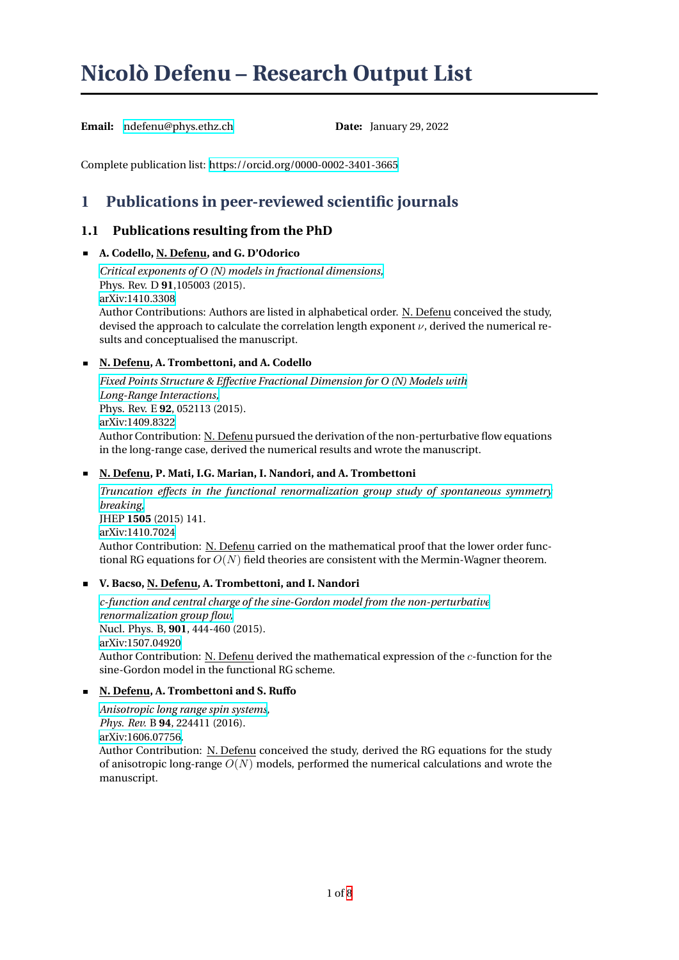# <span id="page-0-0"></span>**Nicolò Defenu – Research Output List**

Email: ndefenu@phys.ethz.ch **Date:** January 29, 2022

Complete publication list: https://orcid.org/0000-0002-3401-3665

# **1 Publications in peer-reviewed scientific journals**

# **1.1 Publications re[sulting from the PhD](https://orcid.org/0000-0002-3401-3665)**

# **A. Codello, N. Defenu, and G. D'Odorico**

*Critical exponents of O (N) models in fractional dimensions,* Phys. Rev. D **91**,105003 (2015). arXiv:1410.3308 Author Contributions: Authors are listed in alphabetical order. N. Defenu conceived the study, [devised the approach to calculate the correlation length exp](http://journals.aps.org/prd/abstract/10.1103/PhysRevD.91.105003)onent *ν*, derived the numerical results and conceptualised the manuscript.

# **[N. Defenu, A. Tr](https://arxiv.org/abs/1410.3308)ombettoni, and A. Codello**

*Fixed Points Structure & Effective Fractional Dimension for O (N) Models with Long-Range Interactions,* Phys. Rev. E **92**, 052113 (2015). arXiv:1409.8322 Author Contribution: N. Defenu [pursued the derivation of the non-perturbati](http://journals.aps.org/pre/abstract/10.1103/PhysRevE.92.052113)ve flow equations [in the long-range case, de](http://journals.aps.org/pre/abstract/10.1103/PhysRevE.92.052113)rived the numerical results and wrote the manuscript.

# **[N. Defenu, P. M](https://arxiv.org/abs/1409.8322)ati, I.G. Marian, I. Nandori, and A. Trombettoni**

*Truncation effects in the functional renormalization group study of spontaneous symmetry breaking,* JHEP **1505** (2015) 141. arXiv:1410.7024 Author Contribution: N. Defenu [carried on the mathematical proof that the lower order func](http://link.springer.com/article/10.1007/JHEP05(2015)141)[tional RG](http://link.springer.com/article/10.1007/JHEP05(2015)141) equations for  $O(N)$  field theories are consistent with the Mermin-Wagner theorem.

# **[V. Bacso, N. Def](http://arxiv.org/abs/1410.7024)enu, A. Trombettoni, and I. Nandori**

*c-function and central charge of the sine-Gordon model from the non-perturbative renormalization group flow,* Nucl. Phys. B, **901**, 444-460 (2015). arXiv:1507.04920 Author Contribution: N. Defenu [derived the mathematical expression of the](http://www.sciencedirect.com/science/article/pii/S0550321315003764) *c*-function for the [sine-Gordon model in the fu](http://www.sciencedirect.com/science/article/pii/S0550321315003764)nctional RG scheme.

# **[N. Defenu, A. Tro](https://arxiv.org/abs/1507.04920)mbettoni and S. Ruffo**

*Anisotropic long range spin systems, Phys. Rev.* B **94**, 224411 (2016). arXiv:1606.07756. Author Contribution: N. Defenu conceived the study, derived the RG equations for the study [of anisotropic long-range](https://journals.aps.org/prb/abstract/10.1103/PhysRevB.94.224411) *O*(*N*) models, performed the numerical calculations and wrote the manuscript.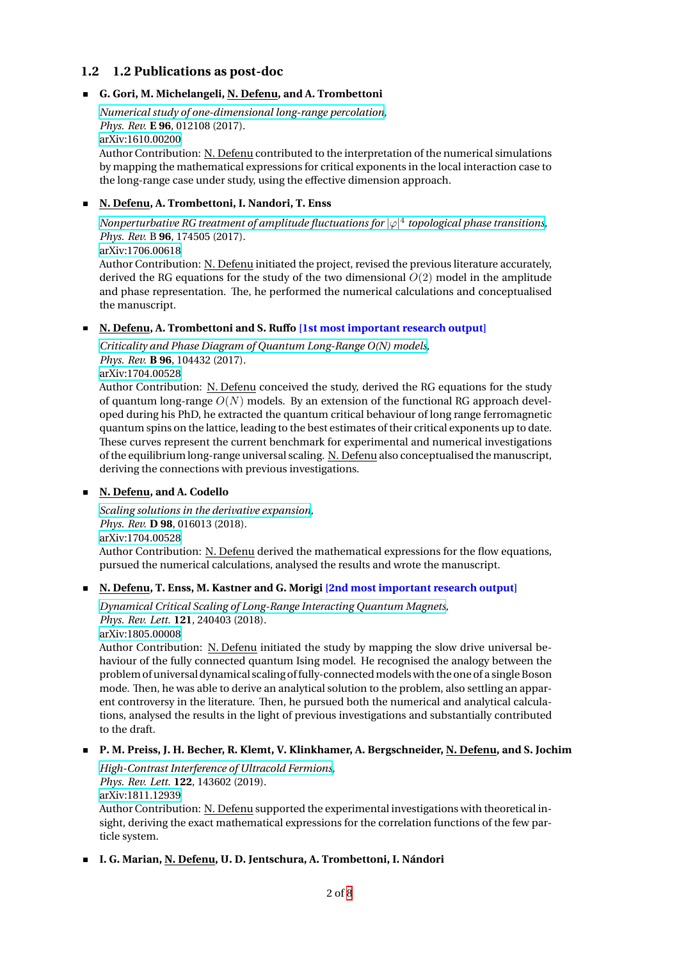# **1.2 1.2 Publications as post-doc**

#### **G. Gori, M. Michelangeli, N. Defenu, and A. Trombettoni**

*Numerical study of one-dimensional long-range percolation, Phys. Rev.* **E 96**, 012108 (2017). arXiv:1610.00200 Author Contribution: N. Defenu contributed to the interpretation of the numerical simulations [by mapping the mathematical expressions for critical expon](https://journals.aps.org/pre/abstract/10.1103/PhysRevE.96.012108)ents in the local interaction case to the long-range case under study, using the effective dimension approach.

#### **[N. Defenu, A. Tro](https://arxiv.org/abs/1610.00200)mbettoni, I. Nandori, T. Enss**

*Nonperturbative RG treatment of amplitude fluctuations for |φ|* 4 *topological phase transitions, Phys. Rev.* B **96**, 174505 (2017). arXiv:1706.00618

Author Contribution: N. Defenu initiated the project, revised the previous literature accurately, [derived the RG equations for the study of the two dimensional](https://journals.aps.org/prb/abstract/10.1103/PhysRevB.96.174505) *O*(2) model in the amplitude and phase representation. The, he performed the numerical calculations and conceptualised [the manuscript.](https://arxiv.org/abs/1706.00618)

### **N. Defenu, A. Trombettoni and S. Ruffo [1st most important research output]**

*Criticality and Phase Diagram of Quantum Long-Range O(N) models, Phys. Rev.* **B 96**, 104432 (2017).

arXiv:1704.00528

Author Contribution: N. Defenu conceived the study, derived the RG equations for the study of quantum long-range  $O(N)$  [models. By an extension of the funct](https://journals.aps.org/prb/accepted/e1071K7dQ6f1ea0aa1754a42dda25418a0b58edb8)ional RG approach developed during his PhD, he extracted the quantum critical behaviour of long range ferromagnetic [quantum spins on](https://arxiv.org/abs/1704.00528) the lattice, leading to the best estimates of their critical exponents up to date. These curves represent the current benchmark for experimental and numerical investigations of the equilibrium long-range universal scaling. N. Defenu also conceptualised the manuscript, deriving the connections with previous investigations.

#### **N. Defenu, and A. Codello**

*Scaling solutions in the derivative expansion, Phys. Rev.* **D 98**, 016013 (2018). arXiv:1704.00528 Author Contribution: N. Defenu derived the mathematical expressions for the flow equations, [pursued the numerical calculations, analyse](https://journals.aps.org/prd/abstract/10.1103/PhysRevD.98.016013)d the results and wrote the manuscript.

#### **[N. Defenu, T. En](https://arxiv.org/abs/1704.00528)ss, M. Kastner and G. Morigi [2nd most important research output]**

*Dynamical Critical Scaling of Long-Range Interacting Quantum Magnets, Phys. Rev. Lett.* **121**, 240403 (2018).

arXiv:1805.00008

Author Contribution: N. Defenu initiated the study by mapping the slow drive universal be[haviour of the fully connected quantum Ising model. He recognised the](https://journals.aps.org/prl/abstract/10.1103/PhysRevLett.121.240403) analogy between the problem of universal dynamical scaling offully-connectedmodels with the one of a single Boson [mode. Then, he w](https://arxiv.org/abs/1805.00008)as able to derive an analytical solution to the problem, also settling an apparent controversy in the literature. Then, he pursued both the numerical and analytical calculations, analysed the results in the light of previous investigations and substantially contributed to the draft.

# **P. M. Preiss, J. H. Becher, R. Klemt, V. Klinkhamer, A. Bergschneider, N. Defenu, and S. Jochim**

*High-Contrast Interference of Ultracold Fermions, Phys. Rev. Lett.* **122**, 143602 (2019). arXiv:1811.12939 Author Contribution: N. Defenu supported the experimental investigations with theoretical in[sight, deriving the exact mathematical expression](https://journals.aps.org/prl/abstract/10.1103/PhysRevLett.122.143602)s for the correlation functions of the few particle system.

**[I. G. Marian, N. D](https://arxiv.org/abs/1811.12939)efenu, U. D. Jentschura, A. Trombettoni, I. Nándori**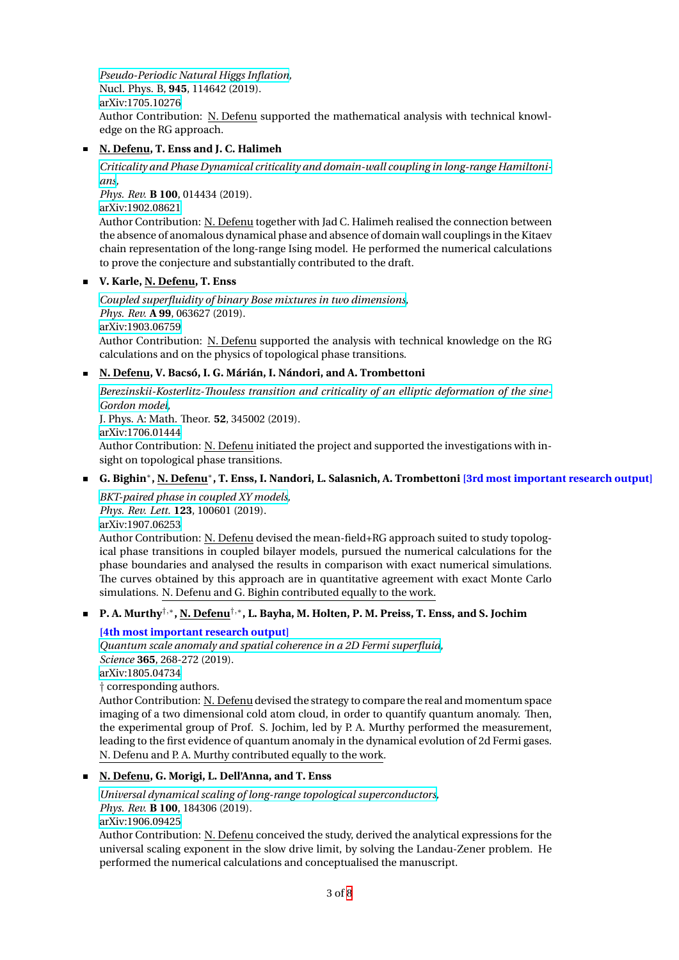*Pseudo-Periodic Natural Higgs Inflation,* Nucl. Phys. B, **945**, 114642 (2019). arXiv:1705.10276 Author Contribution: N. Defenu supported the mathematical analysis with technical knowl[edge on the RG approach.](https://doi.org/10.1016/j.nuclphysb.2019.114642)

# **N. Defenu, T. Enss and J. C. Halimeh**

*[Criticality and Ph](https://arxiv.org/abs/1705.10276)ase Dynamical criticality and domain-wall coupling in long-range Hamiltonians,*

*Phys. Rev.* **B 100**, 014434 (2019).

arXiv:1902.08621

Author Contribution: N. Defenu [together with Jad C. Halimeh realised the connection between](https://doi.org/10.1103/PhysRevB.100.014434) [the](https://doi.org/10.1103/PhysRevB.100.014434) absence of anomalous dynamical phase and absence of domain wall couplings in the Kitaev chain representation of the long-range Ising model. He performed the numerical calculations [to prove the conje](https://arxiv.org/abs/1902.08621)cture and substantially contributed to the draft.

# **V. Karle, N. Defenu, T. Enss**

*Coupled superfluidity of binary Bose mixtures in two dimensions, Phys. Rev.* **A 99**, 063627 (2019). arXiv:1903.06759 Author Contribution: N. Defenu supported the analysis with technical knowledge on the RG [calculations and on the physics of topological phase transitions.](https://doi.org/10.1103/PhysRevA.99.063627)

# **N. Defenu, V. Bacsó, I. G. Márián, I. Nándori, and A. Trombettoni**

*[Berezinskii-Koster](https://arxiv.org/abs/1903.06759)litz-Thouless transition and criticality of an elliptic deformation of the sine-Gordon model,* J. Phys. A: Math. Theor. **52**, 345002 (2019). arXiv:1706.01444 Author Contribution: N. Defenu [initiated the project and supported the investigations with in](https://doi.org/10.1088/1751-8121/ab31c5)[sight on topolo](https://doi.org/10.1088/1751-8121/ab31c5)gical phase transitions.

# **G. Bighin***<sup>∗</sup>* **, N. Defenu***<sup>∗</sup>* **, T. Enss, I. Nandori, L. Salasnich, A. Trombettoni [3rd most important research output]**

*[BKT-paired phase](https://arxiv.org/abs/1706.01444) in coupled XY models, Phys. Rev. Lett.* **123**, 100601 (2019). arXiv:1907.06253 Author Contribution: N. Defenu devised the mean-field+RG approach suited to study topolog[ical phase transitions in coupled bilaye](https://doi.org/10.1103/PhysRevLett.123.100601)r models, pursued the numerical calculations for the phase boundaries and analysed the results in comparison with exact numerical simulations. [The curves obtain](https://arxiv.org/abs/1907.06253)ed by this approach are in quantitative agreement with exact Monte Carlo simulations. N. Defenu and G. Bighin contributed equally to the work.

**P. A. Murthy***†,<sup>∗</sup>* **, N. Defenu***†,<sup>∗</sup>* **, L. Bayha, M. Holten, P. M. Preiss, T. Enss, and S. Jochim**

# **[4th most important research output]**

*Quantum scale anomaly and spatial coherence in a 2D Fermi superfluid, Science* **365**, 268-272 (2019). arXiv:1805.04734

*†* corresponding authors.

Author Contribution: N. Defenu [devised the strategy to compare the real](https://doi.org/10.1126/science.aau4402) and momentum space imaging of a two dimensional cold atom cloud, in order to quantify quantum anomaly. Then, [the experimental](https://arxiv.org/abs/1805.04734) group of Prof. S. Jochim, led by P. A. Murthy performed the measurement, leading to the first evidence of quantum anomaly in the dynamical evolution of 2d Fermi gases. N. Defenu and P. A. Murthy contributed equally to the work.

# **N. Defenu, G. Morigi, L. Dell'Anna, and T. Enss**

*Universal dynamical scaling of long-range topological superconductors, Phys. Rev.* **B 100**, 184306 (2019). arXiv:1906.09425

Author Contribution: N. Defenu conceived the study, derived the analytical expressions for the [universal scaling exponent in the slow drive limit, by solving the Land](10.1103/PhysRevB.100.184306)au-Zener problem. He performed the numerical calculations and conceptualised the manuscript.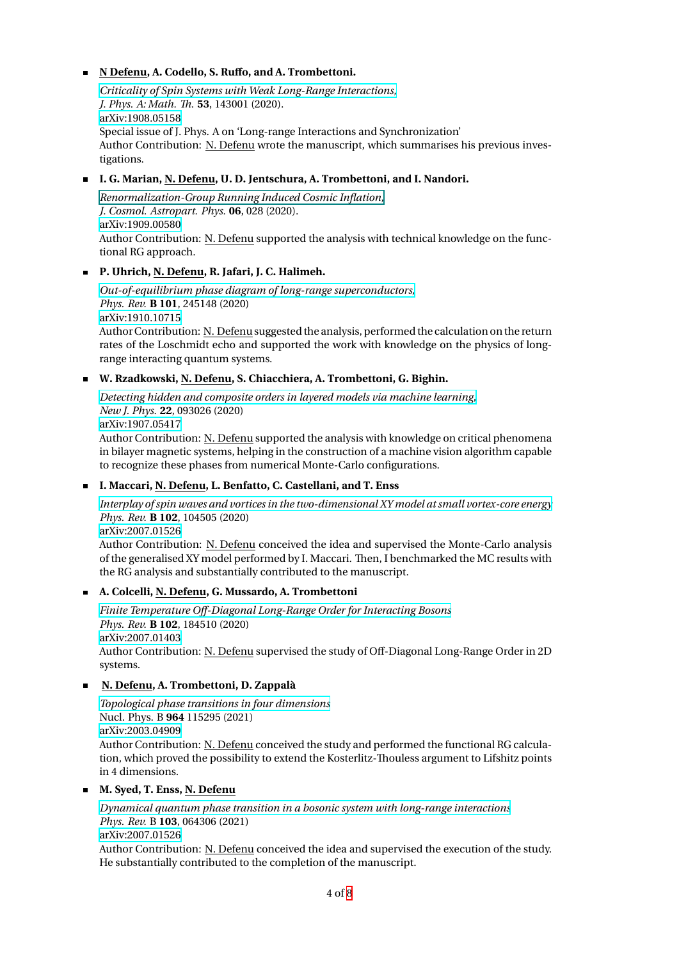#### **N Defenu, A. Codello, S. Ruffo, and A. Trombettoni.**

*Criticality of Spin Systems with Weak Long-Range Interactions, J. Phys. A: Math. Th.* **53**, 143001 (2020). arXiv:1908.05158 Special issue of J. Phys. A on 'Long-range Interactions and Synchronization' [Author Contribution: N. Defenu](https://iopscience.iop.org/article/10.1088/1751-8121/ab6a6c) wrote the manuscript, which summarises his previous investigations.

# **[I. G. Marian, N. D](https://arxiv.org/abs/1908.05158)efenu, U. D. Jentschura, A. Trombettoni, and I. Nandori.**

*Renormalization-Group Running Induced Cosmic Inflation, J. Cosmol. Astropart. Phys.* **06**, 028 (2020). arXiv:1909.00580 Author Contribution: N. Defenu supported the analysis with technical knowledge on the func[tional RG approach.](#page-0-0)

# **[P. Uhrich, N. Def](https://arxiv.org/abs/1909.00580)enu, R. Jafari, J. C. Halimeh.**

*Out-of-equilibrium phase diagram of long-range superconductors, Phys. Rev.* **B 101**, 245148 (2020) arXiv:1910.10715 Author Contribution: N. Defenu suggested the analysis, performed the calculation on the return [rates of the Loschmidt echo and supported the work with knowle](10.1103/PhysRevB.101.245148)dge on the physics of longrange interacting quantum systems.

# **[W. Rzadkowski, N](https://arxiv.org/abs/1910.10715). Defenu, S. Chiacchiera, A. Trombettoni, G. Bighin.**

*Detecting hidden and composite orders in layered models via machine learning, New J. Phys.* **22**, 093026 (2020) arXiv:1907.05417 Author Contribution: N. Defenu supported the analysis with knowledge on critical phenomena [in bilayer magnetic systems, helping in the construction of a machine vision alg](https://iopscience.iop.org/article/10.1088/1367-2630/abae44)orithm capable to recognize these phases from numerical Monte-Carlo configurations.

# **[I. Maccari, N. De](https://arxiv.org/abs/1907.05417)fenu, L. Benfatto, C. Castellani, and T. Enss**

*Interplay of spin waves and vortices in the two-dimensional XY model at small vortex-core energy Phys. Rev.* **B 102**, 104505 (2020) arXiv:2007.01526 Author Contribution: N. Defenu conceived the idea and supervised the Monte-Carlo analysis [of the generalised XY model performed by I. Maccari. Then, I benchmarked the MC results with](https://journals.aps.org/prb/accepted/3f077O2cH9213f4460cd3357161d6761a156bf34d)

the RG analysis and substantially contributed to the manuscript.

# **[A. Colcelli, N. De](https://arxiv.org/abs/2007.01526)fenu, G. Mussardo, A. Trombettoni**

*Finite Temperature Off-Diagonal Long-Range Order for Interacting Bosons Phys. Rev.* **B 102**, 184510 (2020) arXiv:2007.01403 Author Contribution: N. Defenu supervised the study of Off-Diagonal Long-Range Order in 2D [systems.](https://arxiv.org/abs/2007.01403)

# **[N. Defenu, A. Tr](https://arxiv.org/abs/2007.01403)ombettoni, D. Zappalà**

*Topological phase transitions in four dimensions* Nucl. Phys. B **964** 115295 (2021) arXiv:2003.04909 Author Contribution: N. Defenu conceived the study and performed the functional RG calcula[tion, which proved the possibility to extend the K](https://doi.org/10.1016/j.nuclphysb.2020.115295)osterlitz-Thouless argument to Lifshitz points in 4 dimensions.

# **[M. Syed, T. Enss,](https://arxiv.org/abs/2003.04909) N. Defenu**

*Dynamical quantum phase transition in a bosonic system with long-range interactions Phys. Rev.* B **103**, 064306 (2021) arXiv:2007.01526 Author Contribution: N. Defenu conceived the idea and supervised the execution of the study. [He substantially contributed to the completion of the manuscript.](https://doi.org/10.1103/PhysRevB.103.064306)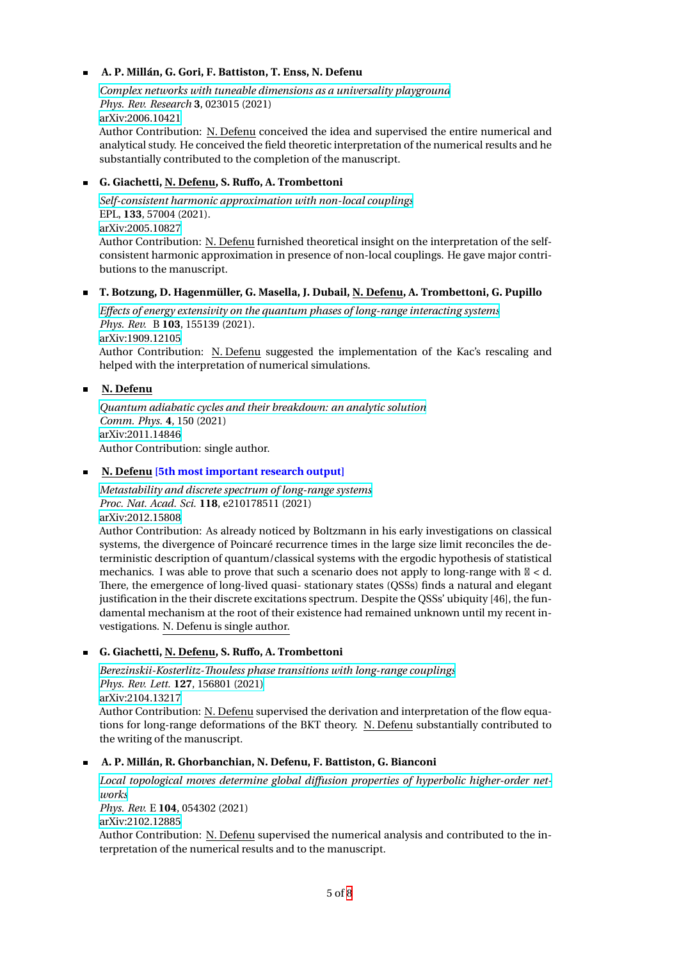#### **A. P. Millán, G. Gori, F. Battiston, T. Enss, N. Defenu**

*Complex networks with tuneable dimensions as a universality playground Phys. Rev. Research* **3**, 023015 (2021) arXiv:2006.10421 Author Contribution: N. Defenu conceived the idea and supervised the entire numerical and [analytical study. He conceived the field theoretic interpretation of the num](https://journals.aps.org/prresearch/abstract/10.1103/PhysRevResearch.3.023015)erical results and he

# **[G. Giachetti, N. D](https://arxiv.org/abs/2006.10421)efenu, S. Ruffo, A. Trombettoni**

substantially contributed to the completion of the manuscript.

*Self-consistent harmonic approximation with non-local couplings* EPL, **133**, 57004 (2021). arXiv:2005.10827 Author Contribution: N. Defenu furnished theoretical insight on the interpretation of the self[consistent harmonic approximation in presence of non-local coup](https://doi.org/10.1209/0295-5075/133/57004)lings. He gave major contributions to the manuscript.

#### **[T. Botzung, D. H](https://arxiv.org/abs/2012.14896)agenmüller, G. Masella, J. Dubail, N. Defenu, A. Trombettoni, G. Pupillo**

*Effects of energy extensivity on the quantum phases of long-range interacting systems Phys. Rev.* B **103**, 155139 (2021). arXiv:1909.12105 Author Contribution: N. Defenu suggested the implementation of the Kac's rescaling and [helped with the interpretation of numerical simulations.](https://doi.org/10.1103/PhysRevB.103.155139)

#### **[N. Defenu](https://arxiv.org/abs/1909.12105)**

*Quantum adiabatic cycles and their breakdown: an analytic solution Comm. Phys.* **4**, 150 (2021) arXiv:2011.14846 Author Contribution: single author.

#### **N. Defenu [\[5th most important research output\]](https://doi.org/10.1038/s42005-021-00649-6)**

*[Metastability and](https://arxiv.org/abs/2011.14846) discrete spectrum of long-range systems Proc. Nat. Acad. Sci.* **118**, e210178511 (2021) arXiv:2012.15808

Author Contribution: As already noticed by Boltzmann in his early investigations on classical [systems, the divergence of Poincaré recurrence times in](https://doi.org/10.1073/pnas.2101785118) the large size limit reconciles the deterministic description of quantum/classical systems with the ergodic hypothesis of statistical [mechanics. I was](https://arxiv.org/abs/2012.15808) able to prove that such a scenario does not apply to long-range with  $\mathbb{N} < d$ . There, the emergence of long-lived quasi- stationary states (QSSs) finds a natural and elegant justification in the their discrete excitations spectrum. Despite the QSSs' ubiquity [46], the fundamental mechanism at the root of their existence had remained unknown until my recent investigations. N. Defenu is single author.

#### **G. Giachetti, N. Defenu, S. Ruffo, A. Trombettoni**

*Berezinskii-Kosterlitz-Thouless phase transitions with long-range couplings Phys. Rev. Lett.* **127**, 156801 (2021) arXiv:2104.13217 Author Contribution: N. Defenu supervised the derivation and interpretation of the flow equa[tions for long-range deformations of the BKT theory. N. Defenu](https://doi.org/10.1103/PhysRevLett.127.156801) substantially contributed to [the writing of the manuscript.](https://doi.org/10.1103/PhysRevLett.127.156801)

#### **[A. P. Millán, R. G](https://arxiv.org/abs/2104.13217)horbanchian, N. Defenu, F. Battiston, G. Bianconi**

*Local topological moves determine global diffusion properties of hyperbolic higher-order networks Phys. Rev.* E **104**, 054302 (2021) arXiv:2102.12885 Author Contribution: N. Defenu [supervised the numerical analysis and contributed to the in](https://doi.org/10.1103/PhysRevE.104.054302)[terpre](https://doi.org/10.1103/PhysRevE.104.054302)tation of the numerical results and to the manuscript.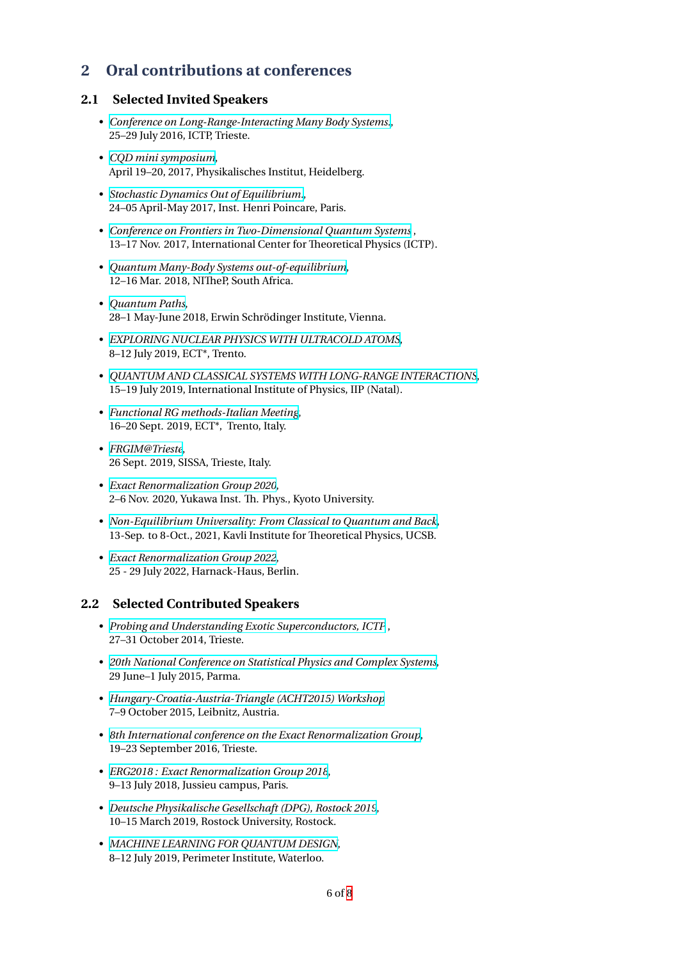# **2 Oral contributions at conferences**

# **2.1 Selected Invited Speakers**

- *Conference on Long-Range-Interacting Many Body Systems.*, 25–29 July 2016, ICTP, Trieste.
- *CQD mini symposium*, [April 19–20, 2017, Physikalisches Institut, Heidelberg.](http://indico.ictp.it/event/7612/)
- *Stochastic Dynamics Out of Equilibrium.*, [24–05 April-May 2017,](http://cqd.uni-heidelberg.de/c/image/f/documents/conferences/CQD_MiniSymposium_170420.pdf) Inst. Henri Poincare, Paris.
- *Conference on Frontiers in Two-Dimensional Quantum Systems* , [13–17 Nov. 2017, International Center for](https://indico.math.cnrs.fr/event/844/) Theoretical Physics (ICTP).
- *Quantum Many-Body Systems out-of-equilibrium*, [12–16 Mar. 2018, NITheP, South Africa.](http://indico.ictp.it/event/8006/other-view?view=ictptimetable)
- *Quantum Paths*, [28–1 May-June 2018, Erwin Schrödinger Institute,](http://www.physics.sun.ac.za/~kastner/qmb18/index.html) Vienna.
- *EXPLORING NUCLEAR PHYSICS WITH ULTRACOLD ATOMS*, [8–12 July 2019, E](https://www.esi.ac.at/uploads/60880ffd-0518-4e83-8ba1-81d125305bde.pdf)CT\*, Trento.
- *QUANTUM AND CLASSICAL SYSTEMS WITH LONG-RANGE INTERACTIONS*, [15–19 July 2019, International Institute of Physics, IIP \(Natal\).](https://www.ectstar.eu/workshops/exploring-nuclear-physics-with-ultracold-atoms/)
- *Functional RG methods-Italian Meeting*, [16–20 Sept. 2019, ECT\\*, Trento, Italy.](https://www.iip.ufrn.br/eventsdetail.php?inf===QTUFFN)
- *FRGIM@Trieste*, [26 Sept. 2019, SISSA, Trieste, Italy.](https://web.infn.it/FRGIM/conference/)
- *Exact Renormalization Group 2020*, [2–6 Nov. 2020, Y](https://web.infn.it/FRGIM/conference/)ukawa Inst. Th. Phys., Kyoto University.
- *Non-Equilibrium Universality: From Classical to Quantum and Back*, [13-Sep. to 8-Oct., 2021, Kavli Institu](https://www2.yukawa.kyoto-u.ac.jp/~erg2020/ERG2020.html)te for Theoretical Physics, UCSB.
- *Exact Renormalization Group 2022*, [25 - 29 July 2022, Harnack-Haus, Berlin.](https://www.kitp.ucsb.edu/activities/universality21)

# **2.2 [Selected Contributed Speak](https://indico.tpi.uni-jena.de/event/199/)ers**

- *Probing and Understanding Exotic Superconductors, ICTP* , 27–31 October 2014, Trieste.
- *20th National Conference on Statistical Physics and Complex Systems*, [29 June–1 July 2015, Parma.](https://exs2014.wordpress.com/)
- *Hungary-Croatia-Austria-Triangle (ACHT2015) Workshop* [7–9 October 2015, Leibnitz, Austria.](http://www.fis.unipr.it/stat/PARMA2015/welcome_E.htm)
- *8th International conference on the Exact Renormalization Group*, [19–23 September 2016, Trieste.](https://www.krassnigg.org/acht2015/)
- *ERG2018 : Exact Renormalization Group 2018*, [9–13 July 2018, Jussieu campus, Paris.](http://indico.ictp.it/event/7608/)
- *Deutsche Physikalische Gesellschaft (DPG), Rostock 2019*, [10–15 March 2019, Rostock University, Rostock](https://erg2018.sciencesconf.org/).
- *MACHINE LEARNING FOR QUANTUM DESIGN*, [8–12 July 2019, Perimeter Institute, Waterloo.](https://rostock19.dpg-tagungen.de/)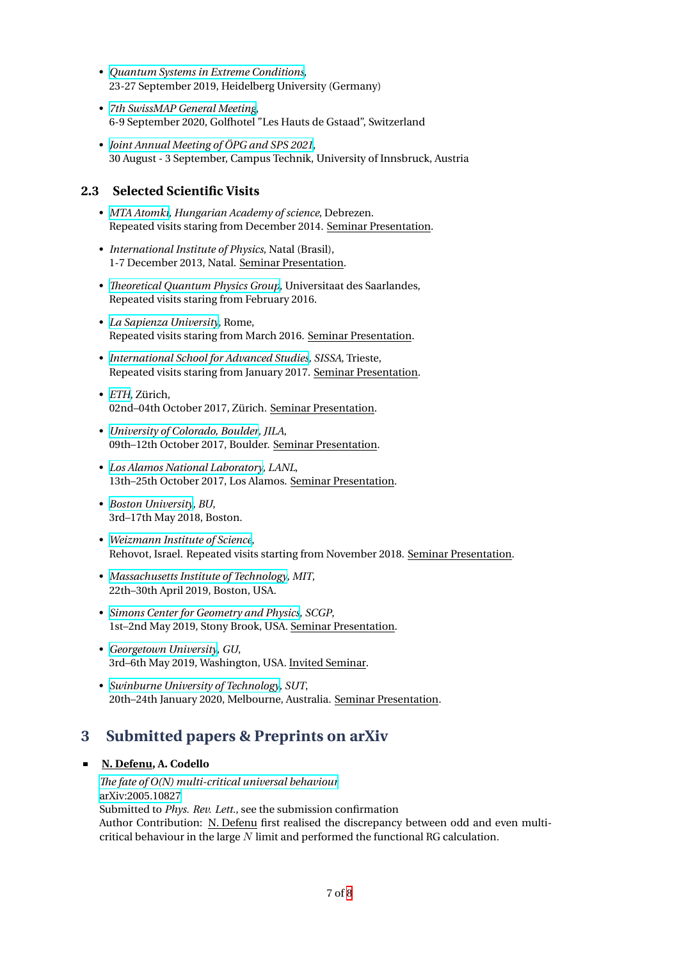- *Quantum Systems in Extreme Conditions*, 23-27 September 2019, Heidelberg University (Germany)
- *7th SwissMAP General Meeting*, [6-9 September 2020, Golfhotel "Les Haut](https://indico.physi.uni-heidelberg.de/event/95/)s de Gstaad", Switzerland
- *Joint Annual Meeting of ÖPG and SPS 2021*, [30 August - 3 September, Camp](https://nccr-swissmap.ch/news-and-events/events-entry-container-1/7th-swissmap-general-meeting?occurrenceID=797)us Technik, University of Innsbruck, Austria

# **2.3 [Selected Scientific Visits](https://indico.cern.ch/event/1015032/)**

- *MTA Atomki, Hungarian Academy of science*, Debrezen. Repeated visits staring from December 2014. Seminar Presentation.
- *International Institute of Physics*, Natal (Brasil), [1-7 Decembe](http://www.atomki.mta.hu/en/)r 2013, Natal. Seminar Presentation.
- *Theoretical Quantum Physics Group*, Universitaat des Saarlandes, Repeated visits staring from February 2016.
- *La Sapienza University*, Rome, [Repeated visits staring from March 2](http://qphys.uni-saarland.de/index.php/giovanna_morigi)016. Seminar Presentation.
- *International School for Advanced Studies, SISSA*, Trieste, [Repeated visits staring](http://www.uniroma1.it/) from January 2017. Seminar Presentation.
- *ETH*, Zürich, [02nd–04th October 2017, Zürich. Seminar](https://www.sissa.it/) Presentation.
- *University of Colorado, Boulder, JILA*, [09th](https://www.ethz.ch/de.html)–12th October 2017, Boulder. Seminar Presentation.
- *Los Alamos National Laboratory, LANL*, [13th–25th October 2017, Los Al](https://www.colorado.edu/)amos. Seminar Presentation.
- *Boston University, BU*, [3rd–17th May 2018, Boston.](http://www.lanl.gov/)
- *Weizmann Institute of Science*, [Rehovot, Israel. R](https://www.bu.edu/)epeated visits starting from November 2018. Seminar Presentation.
- *Massachusetts Institute of Technology, MIT*, [22th–30th April 2019, Boston,](https://www.weizmann.ac.il/pages/) USA.
- *Simons Center for Geometry and Physics, SCGP*, [1st–2nd May 2019, Stony Brook, USA.](http://www.mit.edu/) Seminar Presentation.
- *Georgetown University, GU*, [3rd–6th May 2019, Washington, USA. Inv](http://scgp.stonybrook.edu/)ited Seminar.
- *Swinburne University of Technology, SUT*, [20th–24th January 2020](http://www.mit.edu/), Melbourne, Australia. Seminar Presentation.

# **3 [Submitted papers & Prep](https://www.georgetown.edu/)rints on arXiv**

# **N. Defenu, A. Codello**

*The fate of O(N) multi-critical universal behaviour* arXiv:2005.10827 Submitted to *Phys. Rev. Lett.*, see the submission confirmation Author Contribution: N. Defenu first realised the discrepancy between odd and even multi[critical behaviour in the large](https://arxiv.org/abs/2005.10827) *N* limit and performed the functional RG calculation.